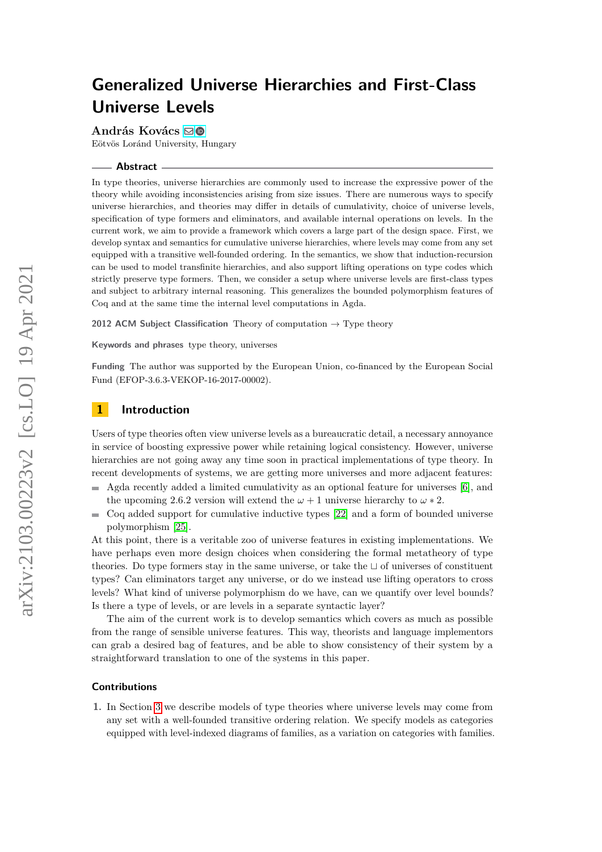**András Kovács** [!](mailto:kovacsandras@inf.elte.hu)

Eötvös Loránd University, Hungary

#### **Abstract**

In type theories, universe hierarchies are commonly used to increase the expressive power of the theory while avoiding inconsistencies arising from size issues. There are numerous ways to specify universe hierarchies, and theories may differ in details of cumulativity, choice of universe levels, specification of type formers and eliminators, and available internal operations on levels. In the current work, we aim to provide a framework which covers a large part of the design space. First, we develop syntax and semantics for cumulative universe hierarchies, where levels may come from any set equipped with a transitive well-founded ordering. In the semantics, we show that induction-recursion can be used to model transfinite hierarchies, and also support lifting operations on type codes which strictly preserve type formers. Then, we consider a setup where universe levels are first-class types and subject to arbitrary internal reasoning. This generalizes the bounded polymorphism features of Coq and at the same time the internal level computations in Agda.

**2012 ACM Subject Classification** Theory of computation → Type theory

**Keywords and phrases** type theory, universes

**Funding** The author was supported by the European Union, co-financed by the European Social Fund (EFOP-3.6.3-VEKOP-16-2017-00002).

# **1 Introduction**

Users of type theories often view universe levels as a bureaucratic detail, a necessary annoyance in service of boosting expressive power while retaining logical consistency. However, universe hierarchies are not going away any time soon in practical implementations of type theory. In recent developments of systems, we are getting more universes and more adjacent features:

- Agda recently added a limited cumulativity as an optional feature for universes [\[6\]](#page-14-0), and the upcoming 2.6.2 version will extend the  $\omega + 1$  universe hierarchy to  $\omega * 2$ .
- Coq added support for cumulative inductive types [\[22\]](#page-15-0) and a form of bounded universe  $\sim$ polymorphism [\[25\]](#page-15-1).

At this point, there is a veritable zoo of universe features in existing implementations. We have perhaps even more design choices when considering the formal metatheory of type theories. Do type formers stay in the same universe, or take the ⊔ of universes of constituent types? Can eliminators target any universe, or do we instead use lifting operators to cross levels? What kind of universe polymorphism do we have, can we quantify over level bounds? Is there a type of levels, or are levels in a separate syntactic layer?

The aim of the current work is to develop semantics which covers as much as possible from the range of sensible universe features. This way, theorists and language implementors can grab a desired bag of features, and be able to show consistency of their system by a straightforward translation to one of the systems in this paper.

#### **Contributions**

**1.** In Section [3](#page-1-0) we describe models of type theories where universe levels may come from any set with a well-founded transitive ordering relation. We specify models as categories equipped with level-indexed diagrams of families, as a variation on categories with families.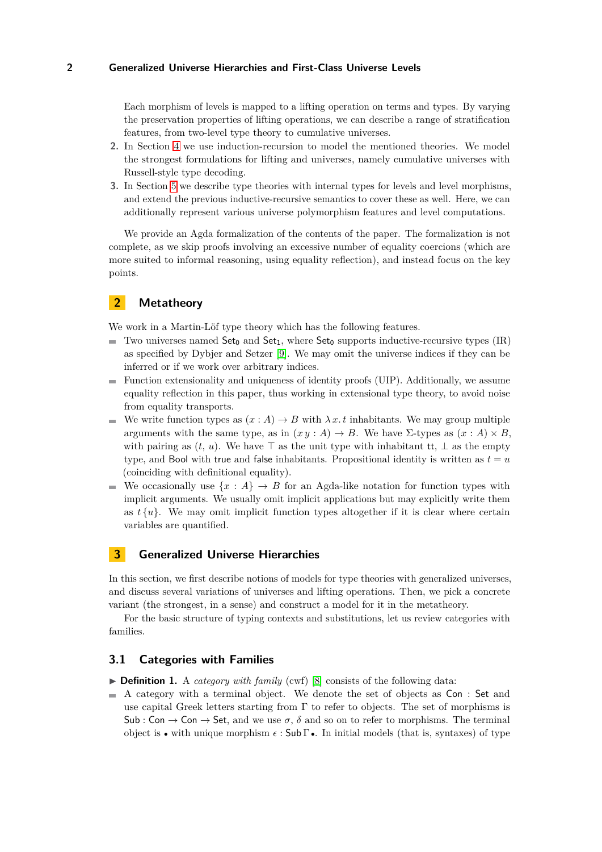Each morphism of levels is mapped to a lifting operation on terms and types. By varying the preservation properties of lifting operations, we can describe a range of stratification features, from two-level type theory to cumulative universes.

- **2.** In Section [4](#page-6-0) we use induction-recursion to model the mentioned theories. We model the strongest formulations for lifting and universes, namely cumulative universes with Russell-style type decoding.
- **3.** In Section [5](#page-9-0) we describe type theories with internal types for levels and level morphisms, and extend the previous inductive-recursive semantics to cover these as well. Here, we can additionally represent various universe polymorphism features and level computations.

We provide an Agda formalization of the contents of the paper. The formalization is not complete, as we skip proofs involving an excessive number of equality coercions (which are more suited to informal reasoning, using equality reflection), and instead focus on the key points.

## **2 Metatheory**

We work in a Martin-Löf type theory which has the following features.

- Two universes named  $Set_0$  and  $Set_1$ , where  $Set_0$  supports inductive-recursive types (IR) ÷. as specified by Dybjer and Setzer [\[9\]](#page-14-1). We may omit the universe indices if they can be inferred or if we work over arbitrary indices.
- $\blacksquare$  Function extensionality and uniqueness of identity proofs (UIP). Additionally, we assume equality reflection in this paper, thus working in extensional type theory, to avoid noise from equality transports.
- We write function types as  $(x : A) \to B$  with  $\lambda x. t$  inhabitants. We may group multiple m. arguments with the same type, as in  $(x y : A) \rightarrow B$ . We have  $\Sigma$ -types as  $(x : A) \times B$ , with pairing as  $(t, u)$ . We have  $\top$  as the unit type with inhabitant tt,  $\bot$  as the empty type, and Bool with true and false inhabitants. Propositional identity is written as  $t = u$ (coinciding with definitional equality).
- We occasionally use  $\{x : A\} \rightarrow B$  for an Agda-like notation for function types with implicit arguments. We usually omit implicit applications but may explicitly write them as  $t\{u\}$ . We may omit implicit function types altogether if it is clear where certain variables are quantified.

## <span id="page-1-0"></span>**3 Generalized Universe Hierarchies**

In this section, we first describe notions of models for type theories with generalized universes, and discuss several variations of universes and lifting operations. Then, we pick a concrete variant (the strongest, in a sense) and construct a model for it in the metatheory.

For the basic structure of typing contexts and substitutions, let us review categories with families.

## **3.1 Categories with Families**

▶ **Definition 1.** A *category with family* (cwf) [\[8\]](#page-14-2) consists of the following data:

 $\blacksquare$  A category with a terminal object. We denote the set of objects as Con : Set and use capital Greek letters starting from  $\Gamma$  to refer to objects. The set of morphisms is Sub : Con  $\rightarrow$  Con  $\rightarrow$  Set, and we use  $\sigma$ ,  $\delta$  and so on to refer to morphisms. The terminal object is • with unique morphism *ϵ* : Sub Γ •. In initial models (that is, syntaxes) of type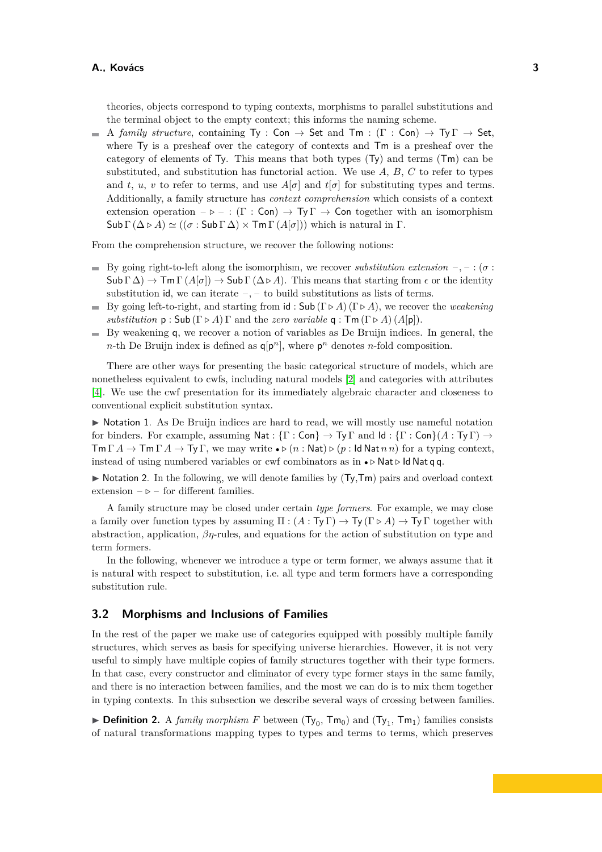theories, objects correspond to typing contexts, morphisms to parallel substitutions and the terminal object to the empty context; this informs the naming scheme.

A *family structure*, containing  $Ty : \mathsf{Con} \to \mathsf{Set}$  and  $\mathsf{Im} : (\Gamma : \mathsf{Con}) \to \mathsf{Ty} \Gamma \to \mathsf{Set}$ , where Ty is a presheaf over the category of contexts and Tm is a presheaf over the category of elements of Ty. This means that both types (Ty) and terms (Tm) can be substituted, and substitution has functorial action. We use *A*, *B*, *C* to refer to types and *t*, *u*, *v* to refer to terms, and use  $A[\sigma]$  and  $t[\sigma]$  for substituting types and terms. Additionally, a family structure has *context comprehension* which consists of a context extension operation  $-\triangleright -$ : (Γ : Con)  $\rightarrow \top y \Gamma \rightarrow$  Con together with an isomorphism  $\mathsf{Sub} \Gamma(\Delta \triangleright A) \simeq ((\sigma : \mathsf{Sub} \Gamma \Delta) \times \mathsf{Tm} \Gamma(A[\sigma]))$  which is natural in  $\Gamma$ .

From the comprehension structure, we recover the following notions:

- By going right-to-left along the isomorphism, we recover *substitution extension* –, : ( $\sigma$ )  $\textsf{Sub } \Gamma(\Delta) \to \textsf{Im } \Gamma(A[\sigma]) \to \textsf{Sub } \Gamma(\Delta \triangleright A)$ . This means that starting from  $\epsilon$  or the identity substitution id, we can iterate –*,* – to build substitutions as lists of terms.
- By going left-to-right, and starting from id : Sub (Γ *▷ A*) (Γ *▷ A*), we recover the *weakening* m. *substitution*  $p : Sub(\Gamma \triangleright A) \Gamma$  and the *zero variable*  $q : \mathsf{Tm}(\Gamma \triangleright A) (A[p])$ .
- $\blacksquare$  By weakening q, we recover a notion of variables as De Bruijn indices. In general, the *n*-th De Bruijn index is defined as  $q[p^n]$ , where  $p^n$  denotes *n*-fold composition.

There are other ways for presenting the basic categorical structure of models, which are nonetheless equivalent to cwfs, including natural models [\[2\]](#page-14-3) and categories with attributes [\[4\]](#page-14-4). We use the cwf presentation for its immediately algebraic character and closeness to conventional explicit substitution syntax.

▶ Notation 1. As De Bruijn indices are hard to read, we will mostly use nameful notation for binders. For example, assuming Nat :  $\{\Gamma : \text{Con}\}\to \text{Ty}\Gamma$  and  $\text{Id}: \{\Gamma : \text{Con}\}(A : \text{Ty}\Gamma) \to \text{Id}\}$  $\text{Im }\Gamma A \to \text{Im }\Gamma A \to \text{Ty }\Gamma$ , we may write  $\bullet \triangleright (n : \text{Nat}) \triangleright (p : \text{Id } \text{Nat } n)$  for a typing context, instead of using numbered variables or cwf combinators as in • *▷* Nat *▷* Id Nat q q.

 $\triangleright$  Notation 2. In the following, we will denote families by  $(Ty, Tm)$  pairs and overload context extension  $-\triangleright$  – for different families.

A family structure may be closed under certain *type formers*. For example, we may close a family over function types by assuming  $\Pi : (A : \mathsf{Ty}\Gamma) \to \mathsf{Ty}(\Gamma \triangleright A) \to \mathsf{Ty}\Gamma$  together with abstraction, application, *βη*-rules, and equations for the action of substitution on type and term formers.

In the following, whenever we introduce a type or term former, we always assume that it is natural with respect to substitution, i.e. all type and term formers have a corresponding substitution rule.

### **3.2 Morphisms and Inclusions of Families**

In the rest of the paper we make use of categories equipped with possibly multiple family structures, which serves as basis for specifying universe hierarchies. However, it is not very useful to simply have multiple copies of family structures together with their type formers. In that case, every constructor and eliminator of every type former stays in the same family, and there is no interaction between families, and the most we can do is to mix them together in typing contexts. In this subsection we describe several ways of crossing between families.

 $\blacktriangleright$  **Definition 2.** A *family morphism F* between (Ty<sub>0</sub>, Tm<sub>0</sub>) and (Ty<sub>1</sub>, Tm<sub>1</sub>) families consists of natural transformations mapping types to types and terms to terms, which preserves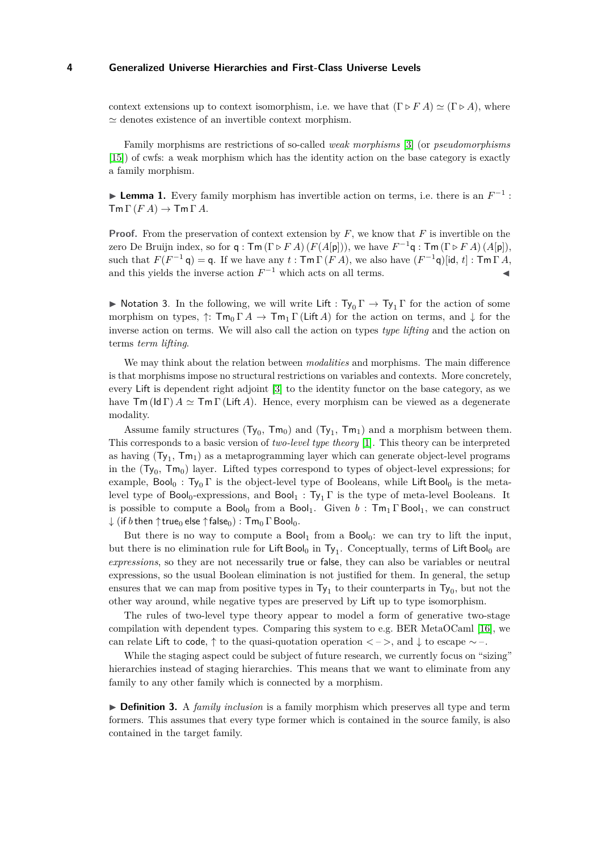context extensions up to context isomorphism, i.e. we have that  $(\Gamma \triangleright F A) \simeq (\Gamma \triangleright A)$ , where  $\simeq$  denotes existence of an invertible context morphism.

Family morphisms are restrictions of so-called *weak morphisms* [\[3\]](#page-14-5) (or *pseudomorphisms* [\[15\]](#page-15-2)) of cwfs: a weak morphism which has the identity action on the base category is exactly a family morphism.

► Lemma 1. Every family morphism has invertible action on terms, i.e. there is an  $F^{-1}$ :  $\mathsf{Tm}\,\Gamma\,(FA)\to\mathsf{Tm}\,\Gamma\,A.$ 

**Proof.** From the preservation of context extension by F, we know that F is invertible on the zero De Bruijn index, so for  $q: \mathsf{Tm}(\Gamma \triangleright F A)(F(A[p]))$ , we have  $F^{-1}q: \mathsf{Tm}(\Gamma \triangleright F A)(A[p])$ , such that  $F(F^{-1}\mathfrak{q}) = \mathfrak{q}$ . If we have any  $t : \mathsf{Tm} \Gamma(F A)$ , we also have  $(F^{-1}\mathfrak{q})$  [id,  $t$ ] :  $\mathsf{Tm} \Gamma A$ , and this yields the inverse action  $F^{-1}$  which acts on all terms.  $\blacktriangleleft$ 

**► Notation 3.** In the following, we will write Lift :  $Ty_0 \Gamma \rightarrow Ty_1 \Gamma$  for the action of some morphism on types,  $\uparrow$ :  $\mathsf{Tm}_0 \Gamma A \to \mathsf{Tm}_1 \Gamma$  (Lift A) for the action on terms, and  $\downarrow$  for the inverse action on terms. We will also call the action on types *type lifting* and the action on terms *term lifting*.

We may think about the relation between *modalities* and morphisms. The main difference is that morphisms impose no structural restrictions on variables and contexts. More concretely, every Lift is dependent right adjoint [\[3\]](#page-14-5) to the identity functor on the base category, as we have  $\mathsf{Tm}(\mathsf{Id}\Gamma) A \simeq \mathsf{Tm}\Gamma(\mathsf{Lift}\ A)$ . Hence, every morphism can be viewed as a degenerate modality.

Assume family structures  $(Ty_0, Tm_0)$  and  $(Ty_1, Tm_1)$  and a morphism between them. This corresponds to a basic version of *two-level type theory* [\[1\]](#page-14-6). This theory can be interpreted as having  $(Ty_1, Tm_1)$  as a metaprogramming layer which can generate object-level programs in the  $(Ty_0, Tm_0)$  layer. Lifted types correspond to types of object-level expressions; for example, Bool<sub>0</sub>: Ty<sub>0</sub> Γ is the object-level type of Booleans, while Lift Bool<sub>0</sub> is the metalevel type of Bool<sub>0</sub>-expressions, and Bool<sub>1</sub> : Ty<sub>1</sub>  $\Gamma$  is the type of meta-level Booleans. It is possible to compute a Bool<sub>0</sub> from a Bool<sub>1</sub>. Given *b* :  $Tm_1 \Gamma$  Bool<sub>1</sub>, we can construct  $\downarrow$  (if *b* then  $\uparrow$  true<sub>0</sub> else  $\uparrow$  false<sub>0</sub>) :  $\mathsf{Tm}_0$   $\Gamma$  Bool<sub>0</sub>.

But there is no way to compute a  $Bool_1$  from a  $Bool_0$ : we can try to lift the input, but there is no elimination rule for Lift Bool<sub>0</sub> in  $Ty_1$ . Conceptually, terms of Lift Bool<sub>0</sub> are *expressions*, so they are not necessarily true or false, they can also be variables or neutral expressions, so the usual Boolean elimination is not justified for them. In general, the setup ensures that we can map from positive types in  $Ty_1$  to their counterparts in  $Ty_0$ , but not the other way around, while negative types are preserved by Lift up to type isomorphism.

The rules of two-level type theory appear to model a form of generative two-stage compilation with dependent types. Comparing this system to e.g. BER MetaOCaml [\[16\]](#page-15-3), we can relate Lift to code,  $\uparrow$  to the quasi-quotation operation  $\langle - \rangle$ , and  $\downarrow$  to escape  $\sim$  –.

While the staging aspect could be subject of future research, we currently focus on "sizing" hierarchies instead of staging hierarchies. This means that we want to eliminate from any family to any other family which is connected by a morphism.

▶ **Definition 3.** A *family inclusion* is a family morphism which preserves all type and term formers. This assumes that every type former which is contained in the source family, is also contained in the target family.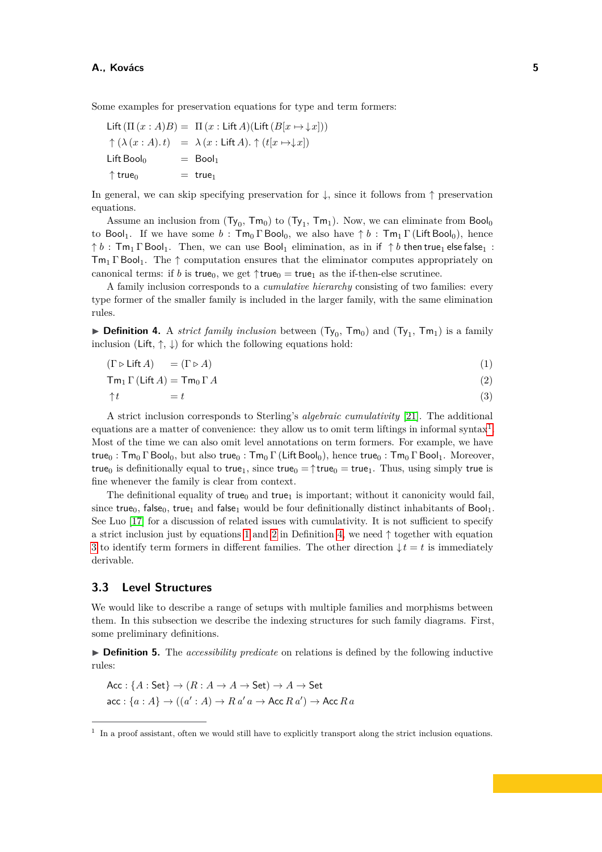Some examples for preservation equations for type and term formers:

Lift  $(\Pi(x : A)B) = \Pi(x : \text{Lift } A)(\text{Lift }(B[x \mapsto \downarrow x]))$  $\uparrow (\lambda (x:A).t) = \lambda (x:Lif(A). \uparrow (t[x \mapsto \downarrow x])$ Lift Bool<sub>0</sub>  $=$  Bool<sub>1</sub>  $\uparrow$  true<sub>0</sub> = true<sub>1</sub>

In general, we can skip specifying preservation for  $\downarrow$ , since it follows from  $\uparrow$  preservation equations.

Assume an inclusion from  $(Ty_0, Tm_0)$  to  $(Ty_1, Tm_1)$ . Now, we can eliminate from Bool<sub>0</sub> to Bool<sub>1</sub>. If we have some  $b : Tm_0 \Gamma$  Bool<sub>0</sub>, we also have  $\uparrow b : Tm_1 \Gamma$  (Lift Bool<sub>0</sub>), hence  $\uparrow b$ : Tm<sub>1</sub>  $\Gamma$  Bool<sub>1</sub>. Then, we can use Bool<sub>1</sub> elimination, as in if  $\uparrow b$  then true<sub>1</sub> else false<sub>1</sub>:  $\text{Im}_{1} \Gamma$  Bool<sub>1</sub>. The  $\uparrow$  computation ensures that the eliminator computes appropriately on canonical terms: if *b* is true<sub>0</sub>, we get  $\uparrow$ true<sub>0</sub> = true<sub>1</sub> as the if-then-else scrutinee.

A family inclusion corresponds to a *cumulative hierarchy* consisting of two families: every type former of the smaller family is included in the larger family, with the same elimination rules.

<span id="page-4-3"></span>**• Definition 4.** A *strict family inclusion* between  $(Ty_0, Tm_0)$  and  $(Ty_1, Tm_1)$  is a family inclusion (Lift,  $\uparrow$ ,  $\downarrow$ ) for which the following equations hold:

<span id="page-4-1"></span>
$$
(\Gamma \triangleright \text{Lift } A) = (\Gamma \triangleright A) \tag{1}
$$

$$
\operatorname{Im}_1 \Gamma(\operatorname{Lift} A) = \operatorname{Im}_0 \Gamma A \tag{2}
$$

<span id="page-4-4"></span><span id="page-4-2"></span>
$$
\uparrow t \qquad \qquad = t \tag{3}
$$

A strict inclusion corresponds to Sterling's *algebraic cumulativity* [\[21\]](#page-15-4). The additional equations are a matter of convenience: they allow us to omit term liftings in informal syntax<sup>[1](#page-4-0)</sup>. Most of the time we can also omit level annotations on term formers. For example, we have true<sub>0</sub> : Tm<sub>0</sub> Γ Bool<sub>0</sub>, but also true<sub>0</sub> : Tm<sub>0</sub> Γ (Lift Bool<sub>0</sub>), hence true<sub>0</sub> : Tm<sub>0</sub> Γ Bool<sub>1</sub>. Moreover, true<sub>0</sub> is definitionally equal to true<sub>1</sub>, since true<sub>0</sub> =  $\uparrow$ true<sub>0</sub> = true<sub>1</sub>. Thus, using simply true is fine whenever the family is clear from context.

The definitional equality of  $true_0$  and  $true_1$  is important; without it canonicity would fail, since true<sub>0</sub>, false<sub>0</sub>, true<sub>1</sub> and false<sub>1</sub> would be four definitionally distinct inhabitants of Bool<sub>1</sub>. See Luo [\[17\]](#page-15-5) for a discussion of related issues with cumulativity. It is not sufficient to specify a strict inclusion just by equations [1](#page-4-1) and [2](#page-4-2) in Definition [4,](#page-4-3) we need  $\uparrow$  together with equation [3](#page-4-4) to identify term formers in different families. The other direction  $\downarrow t = t$  is immediately derivable.

## **3.3 Level Structures**

We would like to describe a range of setups with multiple families and morphisms between them. In this subsection we describe the indexing structures for such family diagrams. First, some preliminary definitions.

▶ **Definition 5.** The *accessibility predicate* on relations is defined by the following inductive rules:

$$
\begin{aligned} \textsf{Acc}: \{A: \textsf{Set}\} &\rightarrow (R: A \rightarrow A \rightarrow \textsf{Set}) \rightarrow A \rightarrow \textsf{Set} \\ \textsf{acc}: \{a: A\} &\rightarrow ((a': A) \rightarrow R \, a' \, a \rightarrow \textsf{Acc} \, R \, a') \rightarrow \textsf{Acc} \, R \, a \end{aligned}
$$

<span id="page-4-0"></span><sup>&</sup>lt;sup>1</sup> In a proof assistant, often we would still have to explicitly transport along the strict inclusion equations.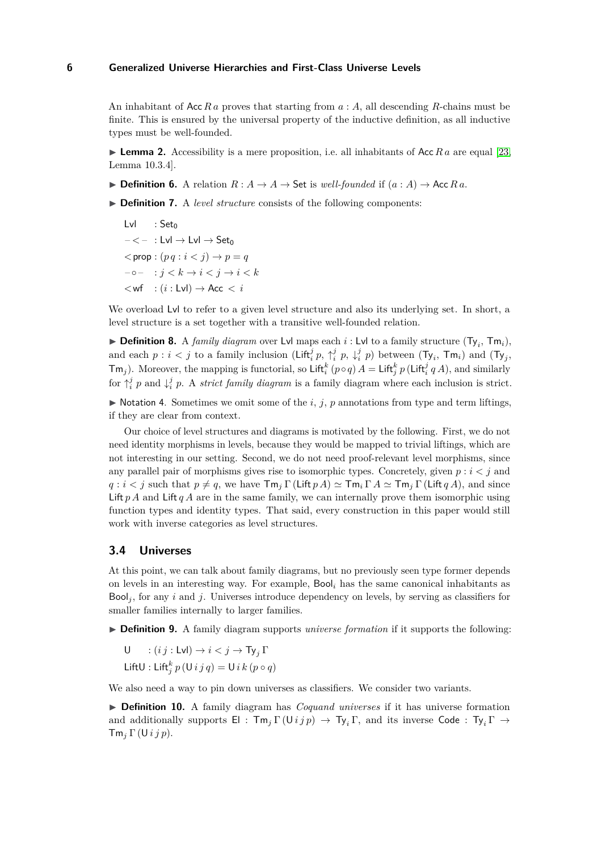An inhabitant of Acc *R a* proves that starting from *a* : *A*, all descending *R*-chains must be finite. This is ensured by the universal property of the inductive definition, as all inductive types must be well-founded.

<span id="page-5-0"></span>**Lemma 2.** Accessibility is a mere proposition, i.e. all inhabitants of Acc  $R_a$  are equal [\[23,](#page-15-6) Lemma 10.3.4].

▶ **Definition 6.** A relation  $R$  :  $A \rightarrow A \rightarrow$  Set is *well-founded* if  $(a : A) \rightarrow$  Acc  $R a$ .

- ▶ **Definition 7.** A *level structure* consists of the following components:
	- Lvl  $: Set_0$  $- < - :$  Lvl  $\rightarrow$  Lvl  $\rightarrow$  Set<sub>0</sub>  $\langle p \text{ } p : (p \, q : i \leq j) \rangle \rightarrow p = q$  $-\circ$  :  $i < k \rightarrow i < i \rightarrow i < k$  $\langle wf : (i : Lvl) \rightarrow Acc \langle i : Lvl \rangle$

We overload Lvl to refer to a given level structure and also its underlying set. In short, a level structure is a set together with a transitive well-founded relation.

**• Definition 8.** A *family diagram* over Lvl maps each *i* : Lvl to a family structure  $(Ty_i, Tm_i)$ , and each  $p : i < j$  to a family inclusion (Lift<sup>*i*</sup><sub>i</sub> $p$ ,  $\uparrow$ <sup>*i*</sup><sub>i</sub> $p$ ,  $\downarrow$ <sup>*i*</sup><sub>i</sub> $p$ ) between (T<sub>y<sub>i</sub></sub>, Tm<sub>i</sub>) and (T<sub>y<sub>j</sub></sub>,  $\text{Tr}(\mathbf{r}) = \text{Tr}(\mathbf{r}) = \text{Tr}(\mathbf{r}) = \text{Tr}(\mathbf{r}) = \text{Tr}(\mathbf{r}) = \text{Tr}(\mathbf{r}) = \text{Tr}(\mathbf{r}) = \text{Tr}(\mathbf{r}) = \text{Tr}(\mathbf{r}) = \text{Tr}(\mathbf{r}) = \text{Tr}(\mathbf{r}) = \text{Tr}(\mathbf{r}) = \text{Tr}(\mathbf{r}) = \text{Tr}(\mathbf{r}) = \text{Tr}(\mathbf{r}) = \text{Tr}(\mathbf{r}) = \text{Tr}(\mathbf{r}) = \text{Tr}(\mathbf{r}) = \text{Tr$ for  $\uparrow_i^j$  *p* and  $\downarrow_i^j$  *p*. A *strict family diagram* is a family diagram where each inclusion is strict.

 $\triangleright$  Notation 4. Sometimes we omit some of the *i*, *j*, *p* annotations from type and term liftings, if they are clear from context.

Our choice of level structures and diagrams is motivated by the following. First, we do not need identity morphisms in levels, because they would be mapped to trivial liftings, which are not interesting in our setting. Second, we do not need proof-relevant level morphisms, since any parallel pair of morphisms gives rise to isomorphic types. Concretely, given  $p : i < j$  and  $q : i < j$  such that  $p \neq q$ , we have  $\mathsf{Tm}_i \Gamma(\mathsf{Lift} \, p \, A) \simeq \mathsf{Tm}_i \Gamma \, A \simeq \mathsf{Tm}_j \Gamma(\mathsf{Lift} \, q \, A)$ , and since Lift *p A* and Lift *q A* are in the same family, we can internally prove them isomorphic using function types and identity types. That said, every construction in this paper would still work with inverse categories as level structures.

### **3.4 Universes**

At this point, we can talk about family diagrams, but no previously seen type former depends on levels in an interesting way. For example, Bool*<sup>i</sup>* has the same canonical inhabitants as Bool<sub>i</sub>, for any *i* and *j*. Universes introduce dependency on levels, by serving as classifiers for smaller families internally to larger families.

- ▶ **Definition 9.** A family diagram supports *universe formation* if it supports the following:
	- U :  $(i j : Lvl) \rightarrow i < j \rightarrow Ty_i \Gamma$
	- Lift $U:$  Lift $_{j}^{k}p(U i j q) = U i k (p \circ q)$

We also need a way to pin down universes as classifiers. We consider two variants.

▶ **Definition 10.** A family diagram has *Coquand universes* if it has universe formation and additionally supports  $\mathsf{El}$  :  $\mathsf{Tm}_j \Gamma(\mathsf{U} ij p) \to \mathsf{Ty}_i \Gamma$ , and its inverse Code :  $\mathsf{Ty}_i \Gamma \to$ Tm*<sup>j</sup>* Γ (U*i j p*).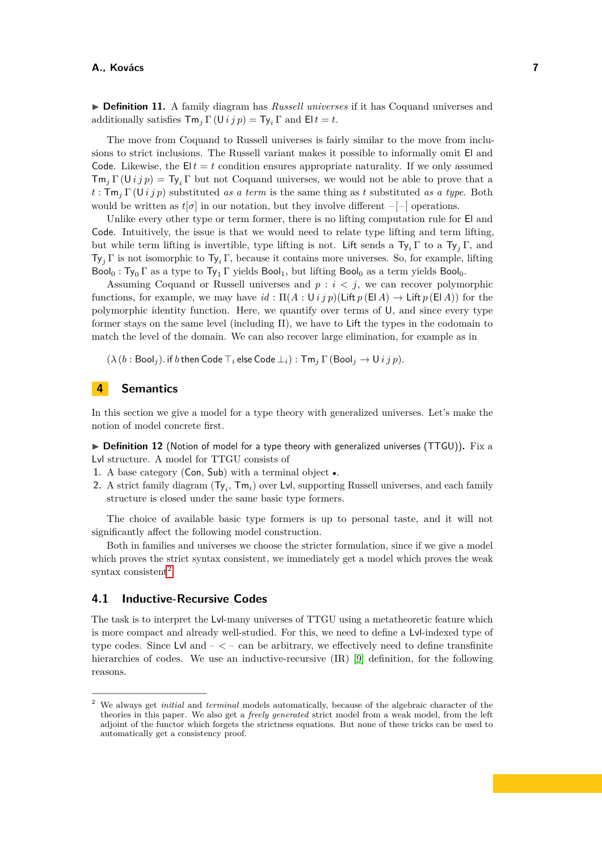▶ **Definition 11.** A family diagram has *Russell universes* if it has Coquand universes and additionally satisfies  $\mathsf{Tm}_j \Gamma(\mathsf{U} \, ij \, p) = \mathsf{Ty}_i \, \Gamma$  and  $\mathsf{E} \, l \, t = t$ .

The move from Coquand to Russell universes is fairly similar to the move from inclusions to strict inclusions. The Russell variant makes it possible to informally omit El and Code. Likewise, the  $E|t = t$  condition ensures appropriate naturality. If we only assumed  $Tm_j \Gamma(\text{U} i j p) = Ty_i \Gamma$  but not Coquand universes, we would not be able to prove that a *t* : Tm*<sup>j</sup>* Γ (U*i j p*) substituted *as a term* is the same thing as *t* substituted *as a type*. Both would be written as  $t[\sigma]$  in our notation, but they involve different  $-[-]$  operations.

Unlike every other type or term former, there is no lifting computation rule for  $El$  and Code. Intuitively, the issue is that we would need to relate type lifting and term lifting, but while term lifting is invertible, type lifting is not. Lift sends a  $Ty_i \Gamma$  to a  $Ty_j \Gamma$ , and Ty*<sup>j</sup>* Γ is not isomorphic to Ty*<sup>i</sup>* Γ, because it contains more universes. So, for example, lifting  $Bool<sub>0</sub>$ : Ty<sub>0</sub> Γ as a type to Ty<sub>1</sub> Γ yields Bool<sub>1</sub>, but lifting Bool<sub>0</sub> as a term yields Bool<sub>0</sub>.

Assuming Coquand or Russell universes and *p* : *i < j*, we can recover polymorphic functions, for example, we may have  $id : \Pi(A : \bigcup i \, j \, p)(\text{Lift } p \, (\text{El } A) \rightarrow \text{Lift } p \, (\text{El } A))$  for the polymorphic identity function. Here, we quantify over terms of U, and since every type former stays on the same level (including  $\Pi$ ), we have to Lift the types in the codomain to match the level of the domain. We can also recover large elimination, for example as in

 $(\lambda (b : \text{Bool}_j)$ . if *b* then Code  $\top_i$  else Code  $\bot_i)$ :  $\text{Tw}_i \Gamma(\text{Bool}_j \to \text{U} i j p)$ .

# <span id="page-6-0"></span>**4 Semantics**

In this section we give a model for a type theory with generalized universes. Let's make the notion of model concrete first.

▶ Definition 12 (Notion of model for a type theory with generalized universes (TTGU)). Fix a Lvl structure. A model for TTGU consists of

- **1.** A base category (Con, Sub) with a terminal object •.
- **2.** A strict family diagram (Ty*<sup>i</sup>* , Tm*i*) over Lvl, supporting Russell universes, and each family structure is closed under the same basic type formers.

The choice of available basic type formers is up to personal taste, and it will not significantly affect the following model construction.

Both in families and universes we choose the stricter formulation, since if we give a model which proves the strict syntax consistent, we immediately get a model which proves the weak  $syntax$  consistent<sup>[2](#page-6-1)</sup>.

## <span id="page-6-2"></span>**4.1 Inductive-Recursive Codes**

The task is to interpret the Lvl-many universes of TTGU using a metatheoretic feature which is more compact and already well-studied. For this, we need to define a Lvl-indexed type of type codes. Since Lvl and – *<* – can be arbitrary, we effectively need to define transfinite hierarchies of codes. We use an inductive-recursive (IR) [\[9\]](#page-14-1) definition, for the following reasons.

<span id="page-6-1"></span><sup>2</sup> We always get *initial* and *terminal* models automatically, because of the algebraic character of the theories in this paper. We also get a *freely generated* strict model from a weak model, from the left adjoint of the functor which forgets the strictness equations. But none of these tricks can be used to automatically get a consistency proof.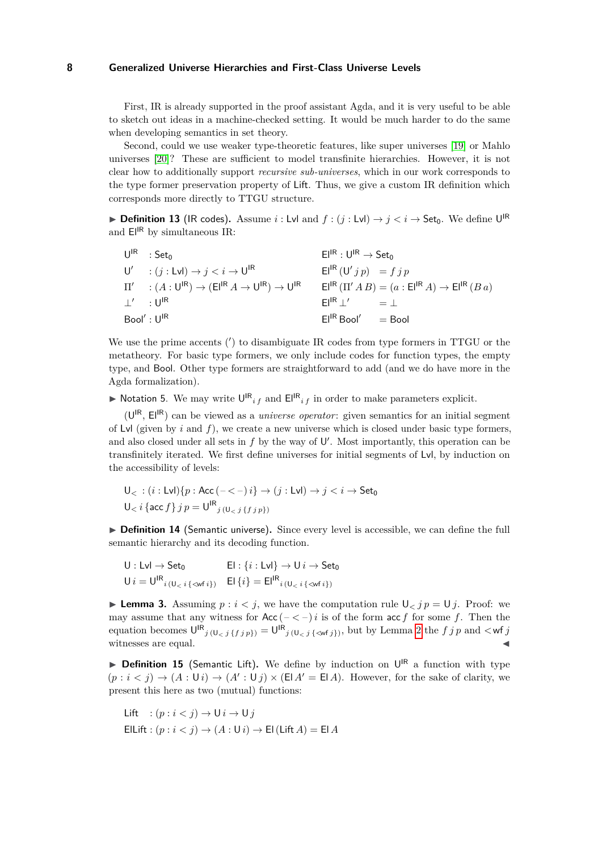First, IR is already supported in the proof assistant Agda, and it is very useful to be able to sketch out ideas in a machine-checked setting. It would be much harder to do the same when developing semantics in set theory.

Second, could we use weaker type-theoretic features, like super universes [\[19\]](#page-15-7) or Mahlo universes [\[20\]](#page-15-8)? These are sufficient to model transfinite hierarchies. However, it is not clear how to additionally support *recursive sub-universes*, which in our work corresponds to the type former preservation property of Lift. Thus, we give a custom IR definition which corresponds more directly to TTGU structure.

▶ **Definition 13** (IR codes). Assume *i* : Lvl and  $f : (j : Lvl) \rightarrow j < i \rightarrow$  Set<sub>0</sub>. We define U<sup>IR</sup> and  $E^{|R|}$  by simultaneous IR:

|                                   | $U^{IR}$ : Set <sub>0</sub>                                                                                               | $El^{IR}: U^{IR} \rightarrow Set_0$                                            |
|-----------------------------------|---------------------------------------------------------------------------------------------------------------------------|--------------------------------------------------------------------------------|
|                                   | $U'$ : $(j : Lvl) \rightarrow j < i \rightarrow U^{\text{IR}}$                                                            | $E^{IR}(U'jp) = fjp$                                                           |
|                                   | $\Pi' \quad : (A:U^{\mathsf{IR}}) \rightarrow (E^{\mathsf{IR}}A \rightarrow U^{\mathsf{IR}}) \rightarrow U^{\mathsf{IR}}$ | $E^{\text{IR}}(\Pi' AB) = (a : E^{\text{IR}} A) \rightarrow E^{\text{IR}}(Ba)$ |
| $\perp' = : U^{\mathsf{IR}}$      |                                                                                                                           | $FI^{\rm IR}$   $'$<br>$=$ $\perp$                                             |
| Bool': $\mathsf{U}^{\mathsf{IR}}$ |                                                                                                                           | El <sup>IR</sup> Bool'<br>$=$ Bool                                             |

We use the prime accents (') to disambiguate IR codes from type formers in TTGU or the metatheory. For basic type formers, we only include codes for function types, the empty type, and Bool. Other type formers are straightforward to add (and we do have more in the Agda formalization).

 $\triangleright$  Notation 5. We may write  $\bigcup_{i}^{R} f$  and  $E_{i}^{R} f$  in order to make parameters explicit.

(U IR , ElIR) can be viewed as a *universe operator*: given semantics for an initial segment of Lvl (given by *i* and *f*), we create a new universe which is closed under basic type formers, and also closed under all sets in  $f$  by the way of  $\mathsf{U}'$ . Most importantly, this operation can be transfinitely iterated. We first define universes for initial segments of Lvl, by induction on the accessibility of levels:

$$
U_{<} (i : \text{Lvl})\{p : \text{Acc } (-<-) i\} \rightarrow (j : \text{Lvl}) \rightarrow j < i \rightarrow \text{Set}_0
$$
\n
$$
U_{<} i \{\text{acc } f\} \, j \, p = U^{\text{IR}}_{j \, (U_{<} j \, \{j \, j \, p\})}
$$

▶ **Definition 14** (Semantic universe). Since every level is accessible, we can define the full semantic hierarchy and its decoding function.

$$
U: Lvl \to Set_0 \qquad \qquad El: \{i: Lvl\} \to U \, i \to Set_0
$$
  

$$
U \, i = U^{IR}{}_{i \, (U_{< i} \{< wt \, i\})} \quad El \, \{i\} = El^{IR}{}_{i \, (U_{< i} \{< wt \, i\})}
$$

<span id="page-7-0"></span>**Lemma 3.** Assuming  $p : i < j$ , we have the computation rule  $\bigcup_{i \in \mathcal{I}} p = \bigcup_{i \in \mathcal{I}} p$ . Proof: we may assume that any witness for  $Acc (-<-)i$  is of the form  $acc f$  for some  $f$ . Then the equation becomes  $\bigcup_{i=1}^{R} \{f_{j,p}\} = \bigcup_{i=1}^{R} \{(\bigcup_{i=1}^{n} \{\langle w_{i,j}^{f} \rangle\})}$ , but by Lemma [2](#page-5-0) the  $f_{j,p}$  and  $\langle w_{j,p}^{f} \rangle$ witnesses are equal.

▶ Definition 15 (Semantic Lift). We define by induction on U<sup>IR</sup> a function with type  $(p : i < j) \rightarrow (A : \mathsf{U} i) \rightarrow (A' : \mathsf{U} j) \times (\mathsf{E} A' = \mathsf{E} A)$ . However, for the sake of clarity, we present this here as two (mutual) functions:

$$
\begin{aligned} \text{Lift} & \quad : (p:i < j) \to \mathsf{U} \, i \to \mathsf{U} \, j \\ \text{Ellift} & \quad : (p:i < j) \to (A: \mathsf{U} \, i) \to \mathsf{El} \, (\text{Lift } A) = \mathsf{El } A \end{aligned}
$$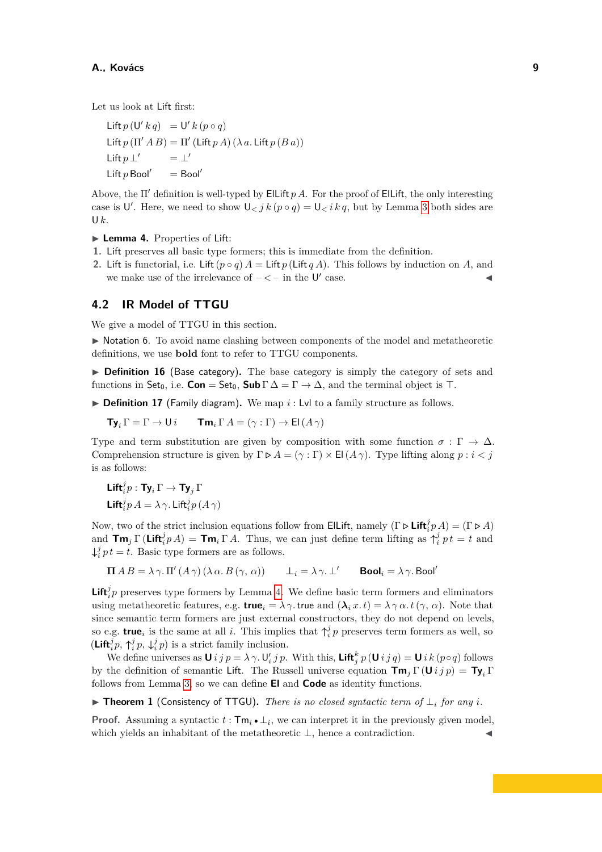Let us look at Lift first:

Lift  $p(U' k q) = U' k (p \circ q)$ Lift  $p(\Pi' AB) = \Pi'$  (Lift  $p(A)$   $(\lambda a$ . Lift  $p(Ba))$ Lift *p* ⊥  $'$  =  $\perp'$ Lift  $p$  Bool'  $=$  Bool'

Above, the Π′ definition is well-typed by ElLift *p A*. For the proof of ElLift, the only interesting case is U'. Here, we need to show  $\mathsf{U}_{\leq j} k(p \circ q) = \mathsf{U}_{\leq i} k q$ , but by Lemma [3](#page-7-0) both sides are U*k*.

- <span id="page-8-0"></span>▶ **Lemma 4.** Properties of Lift:
- **1.** Lift preserves all basic type formers; this is immediate from the definition.
- **2.** Lift is functorial, i.e. Lift  $(p \circ q) A = \text{Lift } p$  (Lift  $q A$ ). This follows by induction on *A*, and we make use of the irrelevance of  $-\langle -\rangle$  in the U' case.

## **4.2 IR Model of TTGU**

We give a model of TTGU in this section.

▶ Notation 6. To avoid name clashing between components of the model and metatheoretic definitions, we use **bold** font to refer to TTGU components.

▶ **Definition 16** (Base category). The base category is simply the category of sets and functions in Set<sub>0</sub>, i.e. **Con** = Set<sub>0</sub>, **Sub**  $\Gamma \Delta = \Gamma \rightarrow \Delta$ , and the terminal object is ⊤.

▶ **Definition 17** (Family diagram). We map *i* : Lvl to a family structure as follows.

 $\mathbf{Ty}_i \Gamma = \Gamma \rightarrow \mathsf{U} \, i$   $\mathbf{Tm}_i \Gamma A = (\gamma : \Gamma) \rightarrow \mathsf{El} (A \gamma)$ 

Type and term substitution are given by composition with some function  $\sigma : \Gamma \to \Delta$ . Comprehension structure is given by  $\Gamma \triangleright A = (\gamma : \Gamma) \times \mathsf{El}(A \gamma)$ . Type lifting along  $p : i < j$ is as follows:

$$
\begin{aligned} &\mathbf{Lift}_{i}^{j}p:\mathbf{Ty}_{i}\,\Gamma\rightarrow\mathbf{Ty}_{j}\,\Gamma\\ &\mathbf{Lift}_{i}^{j}p\,A=\lambda\,\gamma.\,\mathbf{Lift}_{i}^{j}p\,(A\,\gamma) \end{aligned}
$$

Now, two of the strict inclusion equations follow from ElLift, namely  $(\Gamma \triangleright \mathsf{Lift}_i^j p A) = (\Gamma \triangleright A)$ and  $\text{Im}_j \Gamma(\text{Lift}_i^j p A) = \text{Im}_i \Gamma A$ . Thus, we can just define term lifting as  $\uparrow_i^j pt = t$  and  $\downarrow_i^j pt = t$ . Basic type formers are as follows.

$$
\Pi AB = \lambda \gamma. \Pi'(A \gamma) (\lambda \alpha. B(\gamma, \alpha)) \qquad \bot_i = \lambda \gamma. \bot' \qquad \text{Bool}_i = \lambda \gamma. \text{Bool}'
$$

**Lift**<sup> $j$ </sup><sub> $i$ </sub> preserves type formers by Lemma [4.](#page-8-0) We define basic term formers and eliminators using metatheoretic features, e.g. **true**<sub>*i*</sub> =  $\lambda \gamma$ . true and  $(\lambda_i x. t) = \lambda \gamma \alpha. t(\gamma, \alpha)$ . Note that since semantic term formers are just external constructors, they do not depend on levels, so e.g. **true**<sub>*i*</sub> is the same at all *i*. This implies that  $\uparrow_i^j p$  preserves term formers as well, so  $(\mathbf{Lift}_{i}^{j}p, \uparrow_{i}^{j}p, \downarrow_{i}^{j}p)$  is a strict family inclusion.

We define universes as  $U$  *i*  $j p = \lambda \gamma$ .  $U'_i j p$ . With this, Lift $_j^k p(U i j q) = U i k (p \circ q)$  follows by the definition of semantic Lift. The Russell universe equation  $\mathbf{Tm}_i \Gamma(\mathbf{U} i j p) = \mathbf{Ty}_i \Gamma$ follows from Lemma [3,](#page-7-0) so we can define **El** and **Code** as identity functions.

▶ **Theorem 1** (Consistency of TTGU)**.** *There is no closed syntactic term of* ⊥*<sup>i</sup> for any i.*

**Proof.** Assuming a syntactic  $t : \mathsf{Tm}_i \cdot \perp_i$ , we can interpret it in the previously given model, which yields an inhabitant of the metatheoretic  $\bot$ , hence a contradiction.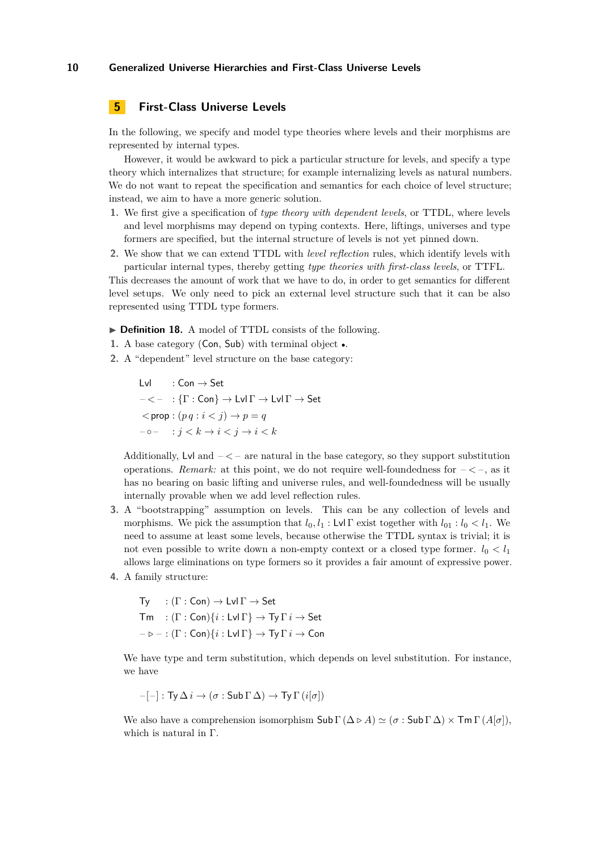# <span id="page-9-0"></span>**5 First-Class Universe Levels**

In the following, we specify and model type theories where levels and their morphisms are represented by internal types.

However, it would be awkward to pick a particular structure for levels, and specify a type theory which internalizes that structure; for example internalizing levels as natural numbers. We do not want to repeat the specification and semantics for each choice of level structure; instead, we aim to have a more generic solution.

- **1.** We first give a specification of *type theory with dependent levels*, or TTDL, where levels and level morphisms may depend on typing contexts. Here, liftings, universes and type formers are specified, but the internal structure of levels is not yet pinned down.
- **2.** We show that we can extend TTDL with *level reflection* rules, which identify levels with particular internal types, thereby getting *type theories with first-class levels*, or TTFL.

This decreases the amount of work that we have to do, in order to get semantics for different level setups. We only need to pick an external level structure such that it can be also represented using TTDL type formers.

▶ **Definition 18.** A model of TTDL consists of the following.

- **1.** A base category (Con, Sub) with terminal object •.
- **2.** A "dependent" level structure on the base category:

 $Lvl$  : Con  $\rightarrow$  Set  $- < - : \{\Gamma : \mathsf{Con}\} \to \mathsf{Lvl}\,\Gamma \to \mathsf{Lvl}\,\Gamma \to \mathsf{Set}$  $\langle p \text{ } q : i \langle j \rangle \rightarrow p = q$  $-\circ$   $\cdot$   $i < k \rightarrow i < j \rightarrow i < k$ 

Additionally, Lyl and  $-\leq -$  are natural in the base category, so they support substitution operations. *Remark:* at this point, we do not require well-foundedness for  $-\langle -\rangle$ , as it has no bearing on basic lifting and universe rules, and well-foundedness will be usually internally provable when we add level reflection rules.

- **3.** A "bootstrapping" assumption on levels. This can be any collection of levels and morphisms. We pick the assumption that  $l_0, l_1 : L \vee \Gamma$  exist together with  $l_{01} : l_0 < l_1$ . We need to assume at least some levels, because otherwise the TTDL syntax is trivial; it is not even possible to write down a non-empty context or a closed type former.  $l_0 < l_1$ allows large eliminations on type formers so it provides a fair amount of expressive power.
- **4.** A family structure:

Ty :  $(\Gamma : \mathsf{Con}) \to \mathsf{Lvl}\,\Gamma \to \mathsf{Set}$  $\mathsf{Tm}$  :  $(\Gamma : \mathsf{Con})\{i : \mathsf{Lvl}\,\Gamma\} \to \mathsf{Tv}\,\Gamma\,i \to \mathsf{Set}$  $-\triangleright$  – :  $(\Gamma : \mathsf{Con})\{i : \mathsf{Lvl}\,\Gamma\} \to \mathsf{Ty}\,\Gamma\,i \to \mathsf{Con}$ 

We have type and term substitution, which depends on level substitution. For instance, we have

$$
-[ - ] : Ty \, \Delta \, i \rightarrow (\sigma : \mathsf{Sub} \, \Gamma \, \Delta) \rightarrow \mathsf{Ty} \, \Gamma \, (i[\sigma])
$$

We also have a comprehension isomorphism  $\text{Sub } \Gamma(\Delta \triangleright A) \simeq (\sigma : \text{Sub } \Gamma \Delta) \times \text{Tr} \Gamma(A[\sigma]),$ which is natural in Γ.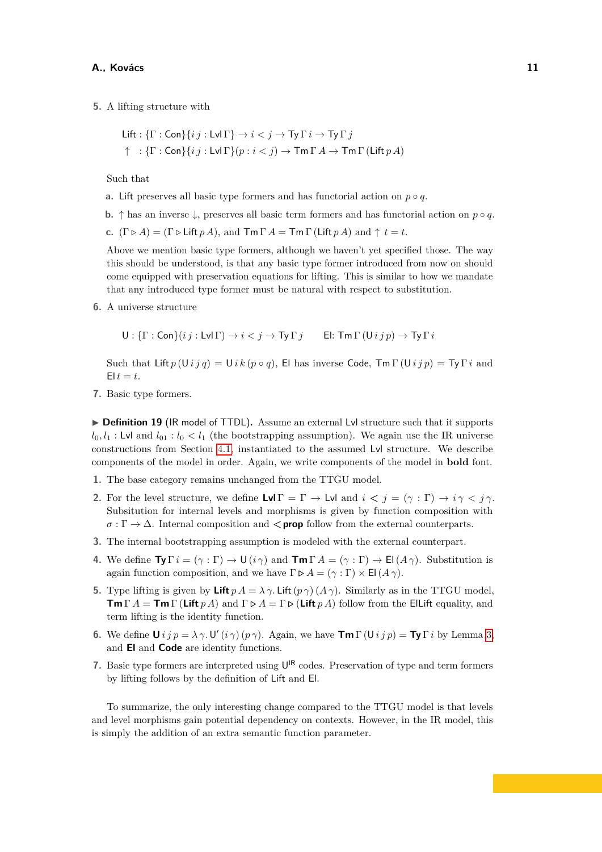**5.** A lifting structure with

$$
\begin{aligned}\n\mathsf{Lift}: \{\Gamma : \mathsf{Con}\} \{ij : \mathsf{Lvl}\,\Gamma\} &\to i < j \to \mathsf{Ty}\,\Gamma\,i \to \mathsf{Ty}\,\Gamma\,j \\
\uparrow & : \{\Gamma : \mathsf{Con}\} \{ij : \mathsf{Lvl}\,\Gamma\} (p : i < j) \to \mathsf{Tm}\,\Gamma\,A \to \mathsf{Tm}\,\Gamma\,(\mathsf{Lift}\,p\,A)\n\end{aligned}
$$

Such that

- **a.** Lift preserves all basic type formers and has functorial action on  $p \circ q$ .
- **b.**  $\uparrow$  has an inverse  $\downarrow$ , preserves all basic term formers and has functorial action on  $p \circ q$ .

**c.**  $(\Gamma \triangleright A) = (\Gamma \triangleright \text{Lift } pA)$ , and  $\mathsf{Tm} \Gamma A = \mathsf{Tm} \Gamma (\text{Lift } pA)$  and  $\uparrow t = t$ .

Above we mention basic type formers, although we haven't yet specified those. The way this should be understood, is that any basic type former introduced from now on should come equipped with preservation equations for lifting. This is similar to how we mandate that any introduced type former must be natural with respect to substitution.

**6.** A universe structure

 $U : \{\Gamma : \textsf{Con}\}(ij : \textsf{Lvl}\,\Gamma) \to i < j \to \textsf{Ty}\,\Gamma\,j$  El:  $\textsf{Tm}\,\Gamma\,(\textsf{U}\,i\,j\,p) \to \textsf{Ty}\,\Gamma\,i$ 

Such that Lift  $p(Uj q) = Uj k (p \circ q)$ , El has inverse Code,  $\text{Im }\Gamma(Uj q) = \text{Tr }\Gamma i$  and  $E|t = t$ .

**7.** Basic type formers.

<span id="page-10-0"></span>▶ **Definition 19** (IR model of TTDL). Assume an external Lvl structure such that it supports  $l_0, l_1$ : Lvl and  $l_{01}$ :  $l_0 < l_1$  (the bootstrapping assumption). We again use the IR universe constructions from Section [4.1,](#page-6-2) instantiated to the assumed Lvl structure. We describe components of the model in order. Again, we write components of the model in **bold** font.

- **1.** The base category remains unchanged from the TTGU model.
- **2.** For the level structure, we define  $\text{Lvl } \Gamma = \Gamma \rightarrow \text{Lvl }$  and  $i < j = (\gamma : \Gamma) \rightarrow i \gamma < j \gamma$ . Subsitution for internal levels and morphisms is given by function composition with *σ* : Γ → Δ. Internal composition and **< prop** follow from the external counterparts.
- **3.** The internal bootstrapping assumption is modeled with the external counterpart.
- **4.** We define  $\text{Ty}\Gamma i = (\gamma : \Gamma) \rightarrow \text{U}(i\gamma)$  and  $\text{TM}\Gamma A = (\gamma : \Gamma) \rightarrow \text{El}(A\gamma)$ . Substitution is again function composition, and we have  $\Gamma \triangleright A = (\gamma : \Gamma) \times \mathsf{El}(A \gamma)$ .
- **5.** Type lifting is given by **Lift**  $p A = \lambda \gamma$ . Lift  $(p \gamma) (A \gamma)$ . Similarly as in the TTGU model, **Tm** Γ *A* = **Tm** Γ (**Lift**  $p A$ ) and  $\Gamma \triangleright A = \Gamma \triangleright (\textbf{Lift } p A)$  follow from the ElLift equality, and term lifting is the identity function.
- **6.** We define  $\mathbf{U} i j p = \lambda \gamma$ .  $\mathbf{U}'(i \gamma) (p \gamma)$ . Again, we have  $\mathbf{Tm} \Gamma(\mathbf{U} i j p) = \mathbf{Ty} \Gamma i$  by Lemma [3,](#page-7-0) and **El** and **Code** are identity functions.
- **7.** Basic type formers are interpreted using  $U^{IR}$  codes. Preservation of type and term formers by lifting follows by the definition of Lift and El.

To summarize, the only interesting change compared to the TTGU model is that levels and level morphisms gain potential dependency on contexts. However, in the IR model, this is simply the addition of an extra semantic function parameter.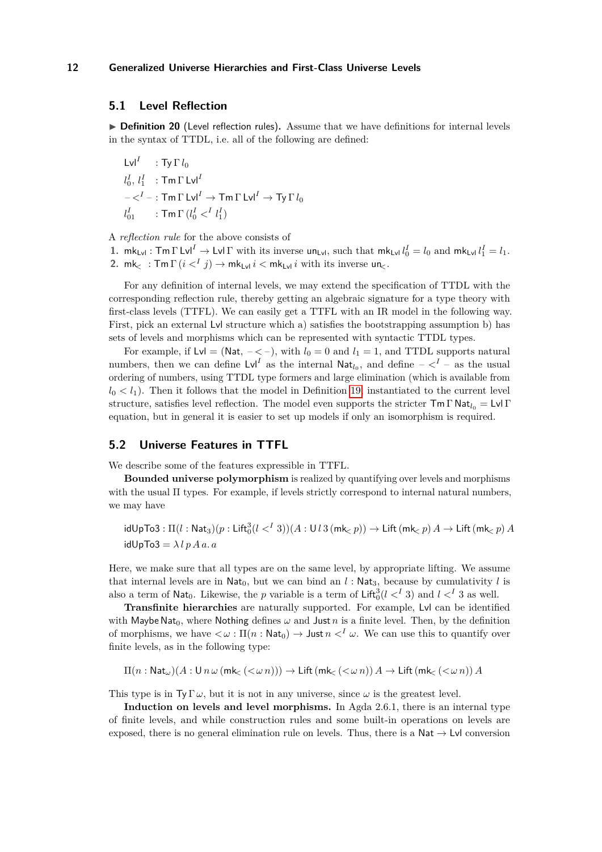## **5.1 Level Reflection**

▶ **Definition 20** (Level reflection rules). Assume that we have definitions for internal levels in the syntax of TTDL, i.e. all of the following are defined:

 $\mathsf{Lvl}^I \quad : \mathsf{Ty}\,\Gamma\,l_0$  $l_0^I, l_1^I$  : Tm  $\Gamma$  Lvl<sup>*I*</sup>  $<^I :$   $\mathsf{Tm}\,\Gamma$  Lvl $^I\to\mathsf{Tm}\,\Gamma$  Lvl $^I\to\mathsf{Ty}\,\Gamma$   $l_0$  $l_{01}^I$  : Tm  $\Gamma$   $(l_0^I <^I l_1^I)$ 

A *reflection rule* for the above consists of

**1.**  $mk_{Lvl}: Tm \Gamma Lvl^I \to Lvl \Gamma$  with its inverse  $un_{Lvl}$ , such that  $mk_{Lvl} l_0^I = l_0$  and  $mk_{Lvl} l_1^I = l_1$ . **2.** mk<sub>c</sub> :  $\mathsf{Tm}\,\Gamma\,(i \lt^I j) \to \mathsf{mk}_{\mathsf{Lvl}}\,i \lt \mathsf{mk}_{\mathsf{Lvl}}\,i$  with its inverse  $\mathsf{un}_\mathsf{L}$ .

For any definition of internal levels, we may extend the specification of TTDL with the corresponding reflection rule, thereby getting an algebraic signature for a type theory with first-class levels (TTFL). We can easily get a TTFL with an IR model in the following way. First, pick an external Lvl structure which a) satisfies the bootstrapping assumption b) has sets of levels and morphisms which can be represented with syntactic TTDL types.

For example, if  $Lvl = (Nat, -< -)$ , with  $l_0 = 0$  and  $l_1 = 1$ , and TTDL supports natural numbers, then we can define  $\text{Lvl}^I$  as the internal  $\text{Nat}_{l_0}$ , and define  $-\langle I - \text{as the usual} \rangle$ ordering of numbers, using TTDL type formers and large elimination (which is available from  $l_0 < l_1$ ). Then it follows that the model in Definition [19,](#page-10-0) instantiated to the current level structure, satisfies level reflection. The model even supports the stricter  $\mathsf{Tm} \Gamma \mathsf{Nat}_{l_0} = \mathsf{Lvl} \Gamma$ equation, but in general it is easier to set up models if only an isomorphism is required.

## **5.2 Universe Features in TTFL**

We describe some of the features expressible in TTFL.

**Bounded universe polymorphism** is realized by quantifying over levels and morphisms with the usual  $\Pi$  types. For example, if levels strictly correspond to internal natural numbers, we may have

 ${\rm idUpTo3}: \Pi(l:{\sf Nat}_3)(p:{\sf Lift}_0^3(l<^I3))(A:{\sf U}l\,3({\sf mk}_<\, p))\to{\sf Lift}\,({\sf mk}_<\, p)\,A\to{\sf Lift}\,({\sf mk}_<\, p)\,A$  $idUpTo3 = \lambda lpAa.a$ 

Here, we make sure that all types are on the same level, by appropriate lifting. We assume that internal levels are in  $\text{Nat}_0$ , but we can bind an *l* :  $\text{Nat}_3$ , because by cumulativity *l* is also a term of  $\text{Nat}_0$ . Likewise, the *p* variable is a term of  $\text{Lift}_0^3(l \lt^I 3)$  and  $l \lt^I 3$  as well.

**Transfinite hierarchies** are naturally supported. For example, Lvl can be identified with Maybe Nat<sub>0</sub>, where Nothing defines  $\omega$  and Just *n* is a finite level. Then, by the definition of morphisms, we have  $\langle \omega : \Pi(n : \text{Nat}_0) \rangle$  Just  $n \langle I \omega \rangle$ . We can use this to quantify over finite levels, as in the following type:

$$
\Pi(n: \mathsf{Nat}_{\omega})(A: \mathsf{U} \, n \, \omega \, (\mathsf{mk}_{\leq} \, (\lt \omega \, n))) \to \mathsf{Lift} \, (\mathsf{mk}_{\leq} \, (\lt \omega \, n)) \, A \to \mathsf{Lift} \, (\mathsf{mk}_{\leq} \, (\lt \omega \, n)) \, A
$$

This type is in  $T_y \Gamma \omega$ , but it is not in any universe, since  $\omega$  is the greatest level.

**Induction on levels and level morphisms.** In Agda 2.6.1, there is an internal type of finite levels, and while construction rules and some built-in operations on levels are exposed, there is no general elimination rule on levels. Thus, there is a  $Nat \rightarrow Lvl$  conversion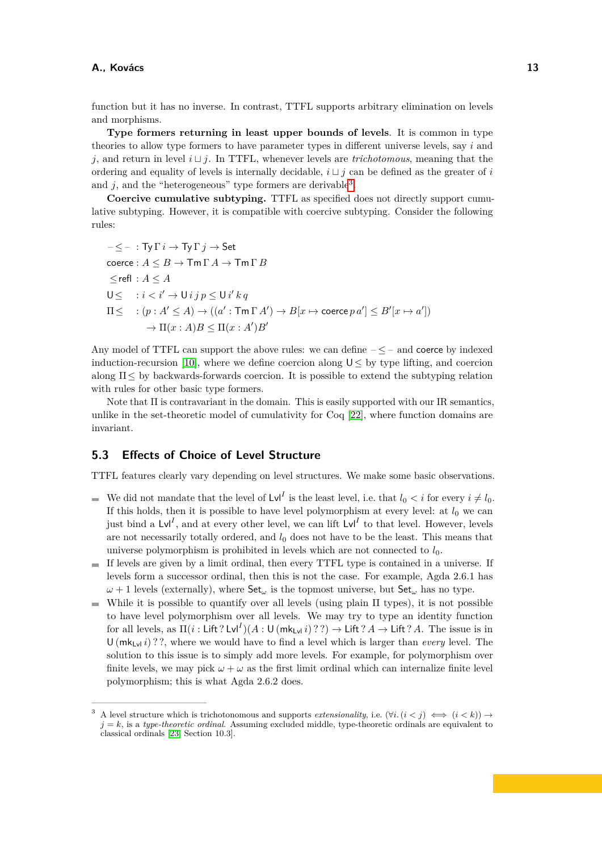function but it has no inverse. In contrast, TTFL supports arbitrary elimination on levels and morphisms.

**Type formers returning in least upper bounds of levels**. It is common in type theories to allow type formers to have parameter types in different universe levels, say *i* and *j*, and return in level *i* ⊔ *j*. In TTFL, whenever levels are *trichotomous*, meaning that the ordering and equality of levels is internally decidable,  $i \sqcup j$  can be defined as the greater of *i* and  $j$ , and the "heterogeneous" type formers are derivable<sup>[3](#page-12-0)</sup>.

**Coercive cumulative subtyping.** TTFL as specified does not directly support cumulative subtyping. However, it is compatible with coercive subtyping. Consider the following rules:

 $<-$  : Ty  $\Gamma i \rightarrow$  Ty  $\Gamma j \rightarrow$  Set  $\operatorname{coerce}: A \leq B \to \operatorname{\mathsf{Tm}} \Gamma A \to \operatorname{\mathsf{Tm}} \Gamma B$  $\leq$ refl :  $A \leq A$  $U \leq i < i' \rightarrow U$  *i*  $j p \leq U$  *i*' *k q*  $\Pi \leq \quad : (p : A' \leq A) \rightarrow ((a' : \mathsf{Tm} \Gamma A') \rightarrow B[x \mapsto \mathsf{coerce}\, p \, a'] \leq B'[x \mapsto a'])$  $\rightarrow \Pi(x:A)B \leq \Pi(x:A')B'$ 

Any model of TTFL can support the above rules: we can define  $-\leq -$  and coerce by indexed induction-recursion [\[10\]](#page-15-9), where we define coercion along  $U \leq$  by type lifting, and coercion along  $\Pi \leq$  by backwards-forwards coercion. It is possible to extend the subtyping relation with rules for other basic type formers.

Note that  $\Pi$  is contravariant in the domain. This is easily supported with our IR semantics, unlike in the set-theoretic model of cumulativity for Coq [\[22\]](#page-15-0), where function domains are invariant.

## **5.3 Effects of Choice of Level Structure**

TTFL features clearly vary depending on level structures. We make some basic observations.

- We did not mandate that the level of  $\text{Lvl}^I$  is the least level, i.e. that  $l_0 < i$  for every  $i \neq l_0$ . If this holds, then it is possible to have level polymorphism at every level: at  $l_0$  we can just bind a  $\text{Lvl}^I$ , and at every other level, we can lift  $\text{Lvl}^I$  to that level. However, levels are not necessarily totally ordered, and  $l_0$  does not have to be the least. This means that universe polymorphism is prohibited in levels which are not connected to  $l_0$ .
- If levels are given by a limit ordinal, then every TTFL type is contained in a universe. If levels form a successor ordinal, then this is not the case. For example, Agda 2.6.1 has  $\omega + 1$  levels (externally), where  $\textsf{Set}_{\omega}$  is the topmost universe, but  $\textsf{Set}_{\omega}$  has no type.
- While it is possible to quantify over all levels (using plain  $\Pi$  types), it is not possible to have level polymorphism over all levels. We may try to type an identity function for all levels, as  $\Pi(i : \text{Lift ?} \text{Lvl}^I)(A : \text{U}(mk_{\text{Lvl}} i)??) \rightarrow \text{Lift ?} A \rightarrow \text{Lift ?} A$ . The issue is in  $U(mk_{Lyl} i)$ ?, where we would have to find a level which is larger than *every* level. The solution to this issue is to simply add more levels. For example, for polymorphism over finite levels, we may pick  $\omega + \omega$  as the first limit ordinal which can internalize finite level polymorphism; this is what Agda 2.6.2 does.

<span id="page-12-0"></span>A level structure which is trichotonomous and supports *extensionality*, i.e.  $(∀i. (i < j) \iff (i < k)) \rightarrow$  $j = k$ , is a *type-theoretic ordinal*. Assuming excluded middle, type-theoretic ordinals are equivalent to classical ordinals [\[23,](#page-15-6) Section 10.3].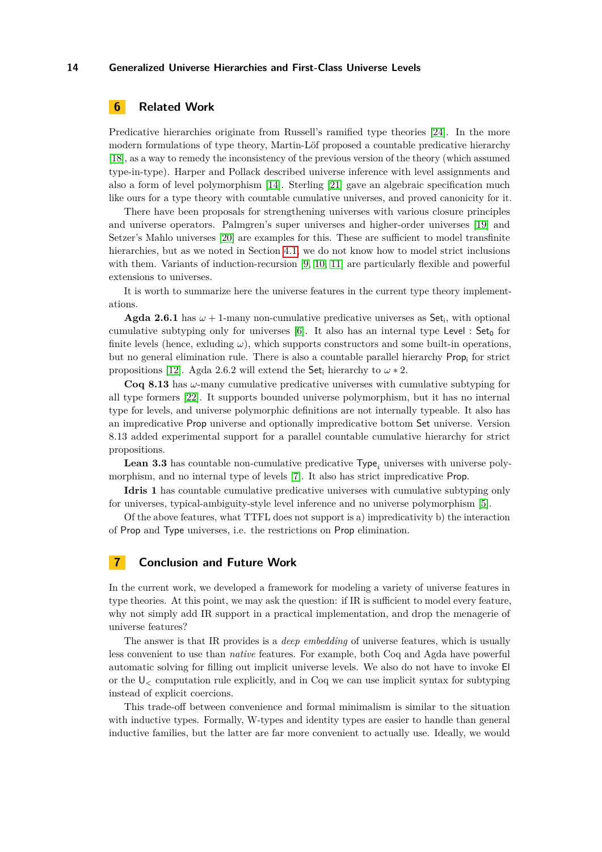# **6 Related Work**

Predicative hierarchies originate from Russell's ramified type theories [\[24\]](#page-15-10). In the more modern formulations of type theory, Martin-Löf proposed a countable predicative hierarchy [\[18\]](#page-15-11), as a way to remedy the inconsistency of the previous version of the theory (which assumed type-in-type). Harper and Pollack described universe inference with level assignments and also a form of level polymorphism [\[14\]](#page-15-12). Sterling [\[21\]](#page-15-4) gave an algebraic specification much like ours for a type theory with countable cumulative universes, and proved canonicity for it.

There have been proposals for strengthening universes with various closure principles and universe operators. Palmgren's super universes and higher-order universes [\[19\]](#page-15-7) and Setzer's Mahlo universes [\[20\]](#page-15-8) are examples for this. These are sufficient to model transfinite hierarchies, but as we noted in Section [4.1,](#page-6-2) we do not know how to model strict inclusions with them. Variants of induction-recursion [\[9,](#page-14-1) [10,](#page-15-9) [11\]](#page-15-13) are particularly flexible and powerful extensions to universes.

It is worth to summarize here the universe features in the current type theory implementations.

**Agda 2.6.1** has  $\omega + 1$ -many non-cumulative predicative universes as Set<sub>i</sub>, with optional cumulative subtyping only for universes  $[6]$ . It also has an internal type Level : Set<sub>0</sub> for finite levels (hence, exluding  $\omega$ ), which supports constructors and some built-in operations, but no general elimination rule. There is also a countable parallel hierarchy Prop<sup>i</sup> for strict propositions [\[12\]](#page-15-14). Agda 2.6.2 will extend the Set<sub>i</sub> hierarchy to  $\omega * 2$ .

**Coq 8.13** has *ω*-many cumulative predicative universes with cumulative subtyping for all type formers [\[22\]](#page-15-0). It supports bounded universe polymorphism, but it has no internal type for levels, and universe polymorphic definitions are not internally typeable. It also has an impredicative Prop universe and optionally impredicative bottom Set universe. Version 8.13 added experimental support for a parallel countable cumulative hierarchy for strict propositions.

Lean 3.3 has countable non-cumulative predicative Type<sub>i</sub> universes with universe polymorphism, and no internal type of levels [\[7\]](#page-14-7). It also has strict impredicative Prop.

**Idris 1** has countable cumulative predicative universes with cumulative subtyping only for universes, typical-ambiguity-style level inference and no universe polymorphism [\[5\]](#page-14-8).

Of the above features, what TTFL does not support is a) impredicativity b) the interaction of Prop and Type universes, i.e. the restrictions on Prop elimination.

# **7 Conclusion and Future Work**

In the current work, we developed a framework for modeling a variety of universe features in type theories. At this point, we may ask the question: if IR is sufficient to model every feature, why not simply add IR support in a practical implementation, and drop the menagerie of universe features?

The answer is that IR provides is a *deep embedding* of universe features, which is usually less convenient to use than *native* features. For example, both Coq and Agda have powerful automatic solving for filling out implicit universe levels. We also do not have to invoke El or the  $U_{\leq}$  computation rule explicitly, and in Coq we can use implicit syntax for subtyping instead of explicit coercions.

This trade-off between convenience and formal minimalism is similar to the situation with inductive types. Formally, W-types and identity types are easier to handle than general inductive families, but the latter are far more convenient to actually use. Ideally, we would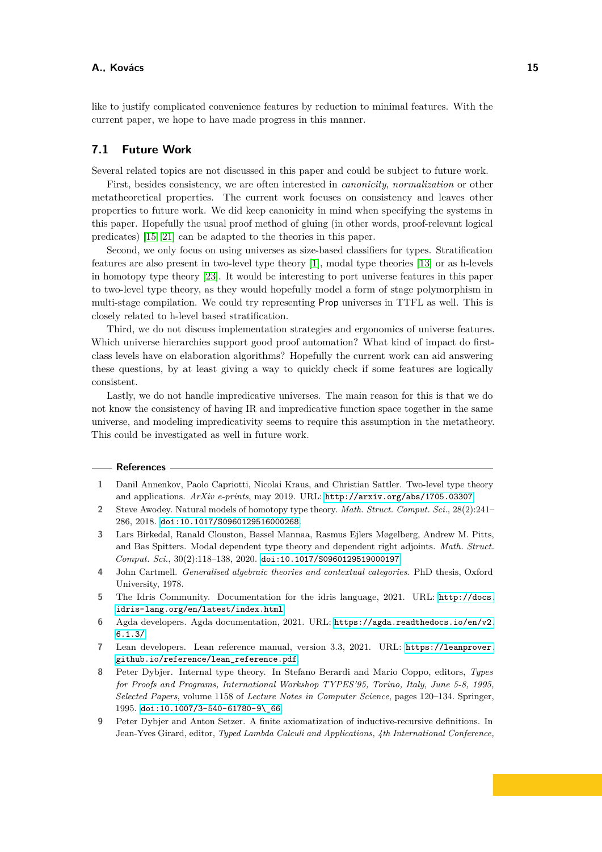like to justify complicated convenience features by reduction to minimal features. With the current paper, we hope to have made progress in this manner.

## **7.1 Future Work**

Several related topics are not discussed in this paper and could be subject to future work.

First, besides consistency, we are often interested in *canonicity*, *normalization* or other metatheoretical properties. The current work focuses on consistency and leaves other properties to future work. We did keep canonicity in mind when specifying the systems in this paper. Hopefully the usual proof method of gluing (in other words, proof-relevant logical predicates) [\[15,](#page-15-2) [21\]](#page-15-4) can be adapted to the theories in this paper.

Second, we only focus on using universes as size-based classifiers for types. Stratification features are also present in two-level type theory [\[1\]](#page-14-6), modal type theories [\[13\]](#page-15-15) or as h-levels in homotopy type theory [\[23\]](#page-15-6). It would be interesting to port universe features in this paper to two-level type theory, as they would hopefully model a form of stage polymorphism in multi-stage compilation. We could try representing Prop universes in TTFL as well. This is closely related to h-level based stratification.

Third, we do not discuss implementation strategies and ergonomics of universe features. Which universe hierarchies support good proof automation? What kind of impact do firstclass levels have on elaboration algorithms? Hopefully the current work can aid answering these questions, by at least giving a way to quickly check if some features are logically consistent.

Lastly, we do not handle impredicative universes. The main reason for this is that we do not know the consistency of having IR and impredicative function space together in the same universe, and modeling impredicativity seems to require this assumption in the metatheory. This could be investigated as well in future work.

#### **References**

- <span id="page-14-6"></span>**1** Danil Annenkov, Paolo Capriotti, Nicolai Kraus, and Christian Sattler. Two-level type theory and applications. *ArXiv e-prints*, may 2019. URL: <http://arxiv.org/abs/1705.03307>.
- <span id="page-14-3"></span>**2** Steve Awodey. Natural models of homotopy type theory. *Math. Struct. Comput. Sci.*, 28(2):241– 286, 2018. [doi:10.1017/S0960129516000268](https://doi.org/10.1017/S0960129516000268).
- <span id="page-14-5"></span>**3** Lars Birkedal, Ranald Clouston, Bassel Mannaa, Rasmus Ejlers Møgelberg, Andrew M. Pitts, and Bas Spitters. Modal dependent type theory and dependent right adjoints. *Math. Struct. Comput. Sci.*, 30(2):118–138, 2020. [doi:10.1017/S0960129519000197](https://doi.org/10.1017/S0960129519000197).
- <span id="page-14-4"></span>**4** John Cartmell. *Generalised algebraic theories and contextual categories*. PhD thesis, Oxford University, 1978.
- <span id="page-14-8"></span>**5** The Idris Community. Documentation for the idris language, 2021. URL: [http://docs.](http://docs.idris-lang.org/en/latest/index.html) [idris-lang.org/en/latest/index.html](http://docs.idris-lang.org/en/latest/index.html).
- <span id="page-14-0"></span>**6** Agda developers. Agda documentation, 2021. URL: [https://agda.readthedocs.io/en/v2.](https://agda.readthedocs.io/en/v2.6.1.3/) [6.1.3/](https://agda.readthedocs.io/en/v2.6.1.3/).
- <span id="page-14-7"></span>**7** Lean developers. Lean reference manual, version 3.3, 2021. URL: [https://leanprover.](https://leanprover.github.io/reference/lean_reference.pdf) [github.io/reference/lean\\_reference.pdf](https://leanprover.github.io/reference/lean_reference.pdf).
- <span id="page-14-2"></span>**8** Peter Dybjer. Internal type theory. In Stefano Berardi and Mario Coppo, editors, *Types for Proofs and Programs, International Workshop TYPES'95, Torino, Italy, June 5-8, 1995, Selected Papers*, volume 1158 of *Lecture Notes in Computer Science*, pages 120–134. Springer, 1995. [doi:10.1007/3-540-61780-9\\\_66](https://doi.org/10.1007/3-540-61780-9_66).
- <span id="page-14-1"></span>**9** Peter Dybjer and Anton Setzer. A finite axiomatization of inductive-recursive definitions. In Jean-Yves Girard, editor, *Typed Lambda Calculi and Applications, 4th International Conference,*